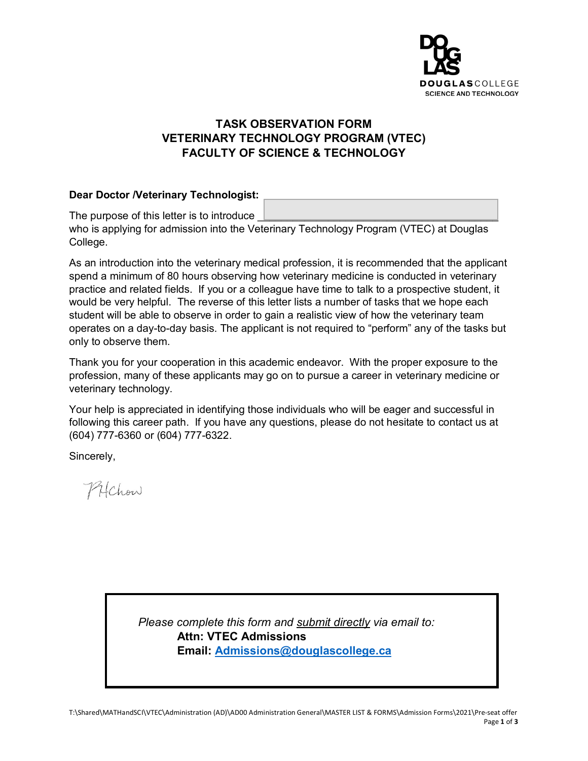

## **TASK OBSERVATION FORM VETERINARY TECHNOLOGY PROGRAM (VTEC) FACULTY OF SCIENCE & TECHNOLOGY**

#### **Dear Doctor /Veterinary Technologist:**

The purpose of this letter is to introduce who is applying for admission into the Veterinary Technology Program (VTEC) at Douglas College.

As an introduction into the veterinary medical profession, it is recommended that the applicant spend a minimum of 80 hours observing how veterinary medicine is conducted in veterinary practice and related fields. If you or a colleague have time to talk to a prospective student, it would be very helpful. The reverse of this letter lists a number of tasks that we hope each student will be able to observe in order to gain a realistic view of how the veterinary team operates on a day-to-day basis. The applicant is not required to "perform" any of the tasks but only to observe them.

Thank you for your cooperation in this academic endeavor. With the proper exposure to the profession, many of these applicants may go on to pursue a career in veterinary medicine or veterinary technology.

Your help is appreciated in identifying those individuals who will be eager and successful in following this career path. If you have any questions, please do not hesitate to contact us at (604) 777-6360 or (604) 777-6322.

Sincerely,

PHChow

*Please complete this form and submit directly via email to:* **Attn: VTEC Admissions Email: [Admissions@douglascollege.ca](mailto:Admissions@douglascollege.ca)**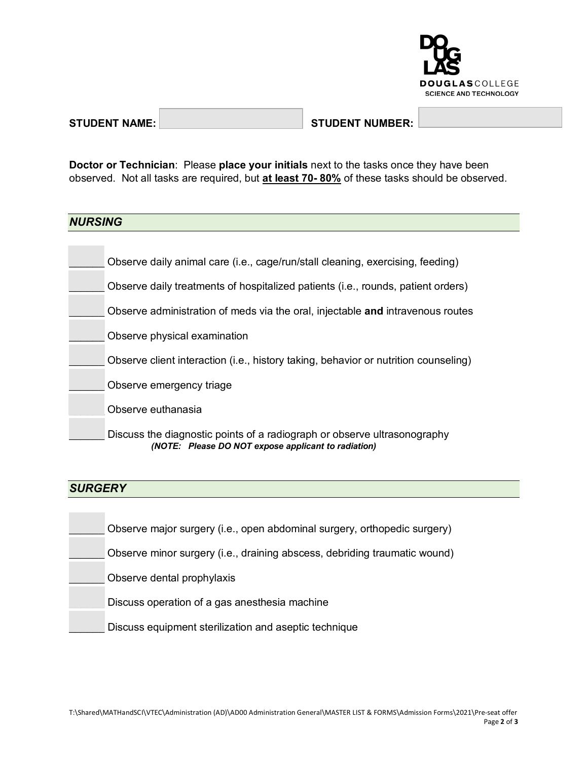

### STUDENT NAME: STUDENT NUMBER:

**Doctor or Technician**: Please **place your initials** next to the tasks once they have been observed. Not all tasks are required, but **at least 70- 80%** of these tasks should be observed.

### *NURSING*

| Observe daily animal care (i.e., cage/run/stall cleaning, exercising, feeding)      |
|-------------------------------------------------------------------------------------|
| Observe daily treatments of hospitalized patients (i.e., rounds, patient orders)    |
| Observe administration of meds via the oral, injectable and intravenous routes      |
| Observe physical examination                                                        |
| Observe client interaction (i.e., history taking, behavior or nutrition counseling) |
| Observe emergency triage                                                            |
| Observe euthanasia                                                                  |
| Discuss the diagnostic points of a radiograph or observe ultrasonography            |

*(NOTE: Please DO NOT expose applicant to radiation)*

# *SURGERY*

| Observe major surgery (i.e., open abdominal surgery, orthopedic surgery)  |
|---------------------------------------------------------------------------|
| Observe minor surgery (i.e., draining abscess, debriding traumatic wound) |
| Observe dental prophylaxis                                                |
| Discuss operation of a gas anesthesia machine                             |
| Discuss equipment sterilization and aseptic technique                     |